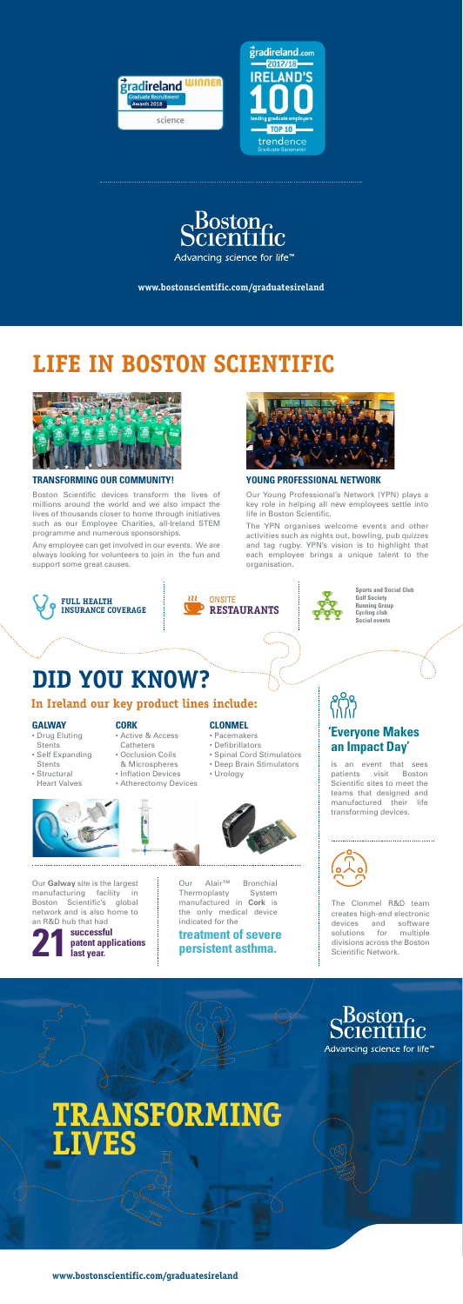### **TRANSFORMING OUR COMMUNITY!**

Boston Scientific devices transform the lives of millions around the world and we also impact the lives of thousands closer to home through initiatives such as our Employee Charities, all-Ireland STEM programme and numerous sponsorships.

Any employee can get involved in our events. We are always looking for volunteers to join in the fun and support some great causes.



### **YOUNG PROFESSIONAL NETWORK**

Our Young Professional's Network (YPN) plays a key role in helping all new employees settle into life in Boston Scientific.

The YPN organises welcome events and other activities such as nights out, bowling, pub quizzes and tag rugby. YPN's vision is to highlight that each employee brings a unique talent to the organisation.

# **LIFE IN BOSTON SCIENTIFIC**



**www.bostonscientific.com/graduatesireland**

# **TRANSFORMING LIVES**

The Clonmel R&D team creates high-end electronic devices and software solutions for multiple divisions across the Boston Scientific Network.

Boston<br>pcientific

Advancing science for life<sup>™</sup>

Our **Galway** site is the largest manufacturing facility in Boston Scientific's global network and is also home to an R&D hub that had

### **GALWAY**

- Drug Eluting **Stents**
- Self Expanding **Stents**
- Structural Heart Valves



### **CORK**

- Active & Access **Catheters**
- Occlusion Coils
- & Microspheres
	- Inflation Devices
	- Atherectomy Devices
		-

### **CLONMEL**

- Pacemakers
- Defibrillators
- Spinal Cord Stimulators
- Deep Brain Stimulators
- Urology





## **'Everyone Makes an Impact Day'**

is an event that sees patients visit Boston Scientific sites to meet the teams that designed and manufactured their life transforming devices.





**Sports and Social Club Golf Society Running Group Cycling club Social events**



### **In Ireland our key product lines include:**

Our Alair™ Bronchial Thermoplasty System manufactured in **Cork** is the only medical device indicated for the

### **treatment of severe persistent asthma.**

# **DID YOU KNOW?**







**www.bostonscientific.com/graduatesireland**